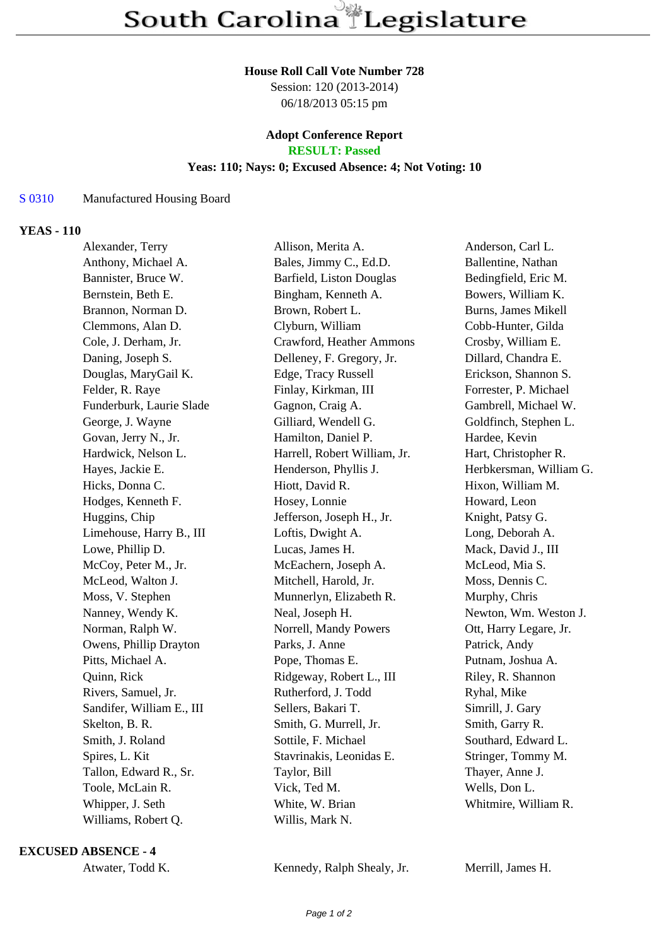#### **House Roll Call Vote Number 728**

Session: 120 (2013-2014) 06/18/2013 05:15 pm

# **Adopt Conference Report**

**RESULT: Passed**

## **Yeas: 110; Nays: 0; Excused Absence: 4; Not Voting: 10**

## S 0310 Manufactured Housing Board

### **YEAS - 110**

| Allison, Merita A.           | Anderson, Carl L.       |
|------------------------------|-------------------------|
| Bales, Jimmy C., Ed.D.       | Ballentine, Nathan      |
| Barfield, Liston Douglas     | Bedingfield, Eric M.    |
| Bingham, Kenneth A.          | Bowers, William K.      |
| Brown, Robert L.             | Burns, James Mikell     |
| Clyburn, William             | Cobb-Hunter, Gilda      |
| Crawford, Heather Ammons     | Crosby, William E.      |
| Delleney, F. Gregory, Jr.    | Dillard, Chandra E.     |
| Edge, Tracy Russell          | Erickson, Shannon S.    |
| Finlay, Kirkman, III         | Forrester, P. Michael   |
| Gagnon, Craig A.             | Gambrell, Michael W.    |
| Gilliard, Wendell G.         | Goldfinch, Stephen L.   |
| Hamilton, Daniel P.          | Hardee, Kevin           |
| Harrell, Robert William, Jr. | Hart, Christopher R.    |
| Henderson, Phyllis J.        | Herbkersman, William G. |
| Hiott, David R.              | Hixon, William M.       |
| Hosey, Lonnie                | Howard, Leon            |
| Jefferson, Joseph H., Jr.    | Knight, Patsy G.        |
| Loftis, Dwight A.            | Long, Deborah A.        |
| Lucas, James H.              | Mack, David J., III     |
| McEachern, Joseph A.         | McLeod, Mia S.          |
| Mitchell, Harold, Jr.        | Moss, Dennis C.         |
| Munnerlyn, Elizabeth R.      | Murphy, Chris           |
| Neal, Joseph H.              | Newton, Wm. Weston J.   |
| Norrell, Mandy Powers        | Ott, Harry Legare, Jr.  |
| Parks, J. Anne               | Patrick, Andy           |
| Pope, Thomas E.              | Putnam, Joshua A.       |
| Ridgeway, Robert L., III     | Riley, R. Shannon       |
| Rutherford, J. Todd          | Ryhal, Mike             |
| Sellers, Bakari T.           | Simrill, J. Gary        |
| Smith, G. Murrell, Jr.       | Smith, Garry R.         |
| Sottile, F. Michael          | Southard, Edward L      |
| Stavrinakis, Leonidas E.     | Stringer, Tommy M.      |
| Taylor, Bill                 | Thayer, Anne J.         |
| Vick, Ted M.                 | Wells, Don L.           |
| White, W. Brian              | Whitmire, William R.    |
| Willis, Mark N.              |                         |
|                              |                         |

**EXCUSED ABSENCE - 4**

Atwater, Todd K. Kennedy, Ralph Shealy, Jr. Merrill, James H.